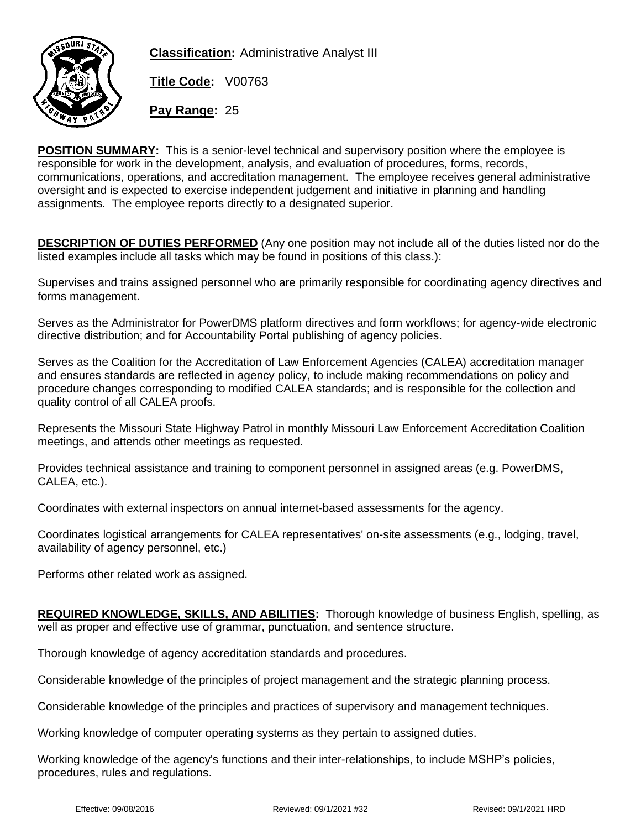

**Classification:** Administrative Analyst III

**Title Code:** V00763

**Pay Range:** 25

**POSITION SUMMARY:** This is a senior-level technical and supervisory position where the employee is responsible for work in the development, analysis, and evaluation of procedures, forms, records, communications, operations, and accreditation management. The employee receives general administrative oversight and is expected to exercise independent judgement and initiative in planning and handling assignments. The employee reports directly to a designated superior.

**DESCRIPTION OF DUTIES PERFORMED** (Any one position may not include all of the duties listed nor do the listed examples include all tasks which may be found in positions of this class.):

Supervises and trains assigned personnel who are primarily responsible for coordinating agency directives and forms management.

Serves as the Administrator for PowerDMS platform directives and form workflows; for agency-wide electronic directive distribution; and for Accountability Portal publishing of agency policies.

Serves as the Coalition for the Accreditation of Law Enforcement Agencies (CALEA) accreditation manager and ensures standards are reflected in agency policy, to include making recommendations on policy and procedure changes corresponding to modified CALEA standards; and is responsible for the collection and quality control of all CALEA proofs.

Represents the Missouri State Highway Patrol in monthly Missouri Law Enforcement Accreditation Coalition meetings, and attends other meetings as requested.

Provides technical assistance and training to component personnel in assigned areas (e.g. PowerDMS, CALEA, etc.).

Coordinates with external inspectors on annual internet-based assessments for the agency.

Coordinates logistical arrangements for CALEA representatives' on-site assessments (e.g., lodging, travel, availability of agency personnel, etc.)

Performs other related work as assigned.

**REQUIRED KNOWLEDGE, SKILLS, AND ABILITIES:** Thorough knowledge of business English, spelling, as well as proper and effective use of grammar, punctuation, and sentence structure.

Thorough knowledge of agency accreditation standards and procedures.

Considerable knowledge of the principles of project management and the strategic planning process.

Considerable knowledge of the principles and practices of supervisory and management techniques.

Working knowledge of computer operating systems as they pertain to assigned duties.

Working knowledge of the agency's functions and their inter-relationships, to include MSHP's policies, procedures, rules and regulations.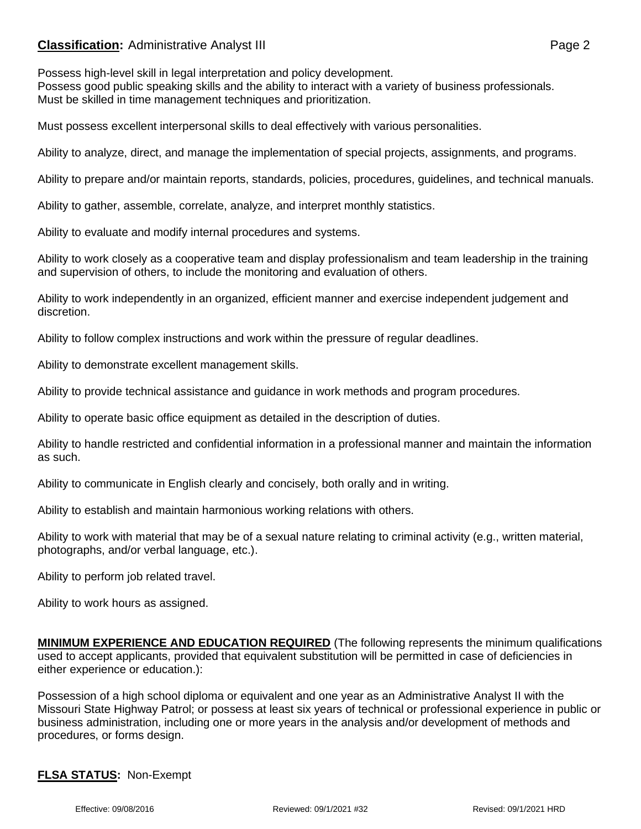## **Classification:** Administrative Analyst III **Classification:** Page 2

Possess high-level skill in legal interpretation and policy development. Possess good public speaking skills and the ability to interact with a variety of business professionals. Must be skilled in time management techniques and prioritization.

Must possess excellent interpersonal skills to deal effectively with various personalities.

Ability to analyze, direct, and manage the implementation of special projects, assignments, and programs.

Ability to prepare and/or maintain reports, standards, policies, procedures, guidelines, and technical manuals.

Ability to gather, assemble, correlate, analyze, and interpret monthly statistics.

Ability to evaluate and modify internal procedures and systems.

Ability to work closely as a cooperative team and display professionalism and team leadership in the training and supervision of others, to include the monitoring and evaluation of others.

Ability to work independently in an organized, efficient manner and exercise independent judgement and discretion.

Ability to follow complex instructions and work within the pressure of regular deadlines.

Ability to demonstrate excellent management skills.

Ability to provide technical assistance and guidance in work methods and program procedures.

Ability to operate basic office equipment as detailed in the description of duties.

Ability to handle restricted and confidential information in a professional manner and maintain the information as such.

Ability to communicate in English clearly and concisely, both orally and in writing.

Ability to establish and maintain harmonious working relations with others.

Ability to work with material that may be of a sexual nature relating to criminal activity (e.g., written material, photographs, and/or verbal language, etc.).

Ability to perform job related travel.

Ability to work hours as assigned.

**MINIMUM EXPERIENCE AND EDUCATION REQUIRED** (The following represents the minimum qualifications used to accept applicants, provided that equivalent substitution will be permitted in case of deficiencies in either experience or education.):

Possession of a high school diploma or equivalent and one year as an Administrative Analyst II with the Missouri State Highway Patrol; or possess at least six years of technical or professional experience in public or business administration, including one or more years in the analysis and/or development of methods and procedures, or forms design.

## **FLSA STATUS:** Non-Exempt